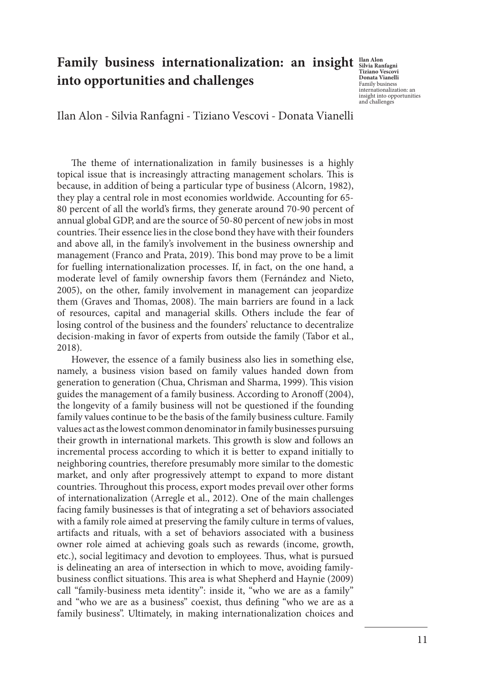## **Family business internationalization: an insight** subsequently **into opportunities and challenges**

**Tiziano Vescovi Donata Vianelli** Family business internationalization: an insight into opportunities and challenge

Ilan Alon - Silvia Ranfagni - Tiziano Vescovi - Donata Vianelli

The theme of internationalization in family businesses is a highly topical issue that is increasingly attracting management scholars. This is because, in addition of being a particular type of business (Alcorn, 1982), they play a central role in most economies worldwide. Accounting for 65- 80 percent of all the world's firms, they generate around 70-90 percent of annual global GDP, and are the source of 50-80 percent of new jobs in most countries. Their essence lies in the close bond they have with their founders and above all, in the family's involvement in the business ownership and management (Franco and Prata, 2019). This bond may prove to be a limit for fuelling internationalization processes. If, in fact, on the one hand, a moderate level of family ownership favors them (Fernández and Nieto, 2005), on the other, family involvement in management can jeopardize them (Graves and Thomas, 2008). The main barriers are found in a lack of resources, capital and managerial skills. Others include the fear of losing control of the business and the founders' reluctance to decentralize decision-making in favor of experts from outside the family (Tabor et al., 2018).

However, the essence of a family business also lies in something else, namely, a business vision based on family values handed down from generation to generation (Chua, Chrisman and Sharma, 1999). This vision guides the management of a family business. According to Aronoff (2004), the longevity of a family business will not be questioned if the founding family values continue to be the basis of the family business culture. Family values act as the lowest common denominator in family businesses pursuing their growth in international markets. This growth is slow and follows an incremental process according to which it is better to expand initially to neighboring countries, therefore presumably more similar to the domestic market, and only after progressively attempt to expand to more distant countries. Throughout this process, export modes prevail over other forms of internationalization (Arregle et al., 2012). One of the main challenges facing family businesses is that of integrating a set of behaviors associated with a family role aimed at preserving the family culture in terms of values, artifacts and rituals, with a set of behaviors associated with a business owner role aimed at achieving goals such as rewards (income, growth, etc.), social legitimacy and devotion to employees. Thus, what is pursued is delineating an area of intersection in which to move, avoiding familybusiness conflict situations. This area is what Shepherd and Haynie (2009) call "family-business meta identity": inside it, "who we are as a family" and "who we are as a business" coexist, thus defining "who we are as a family business". Ultimately, in making internationalization choices and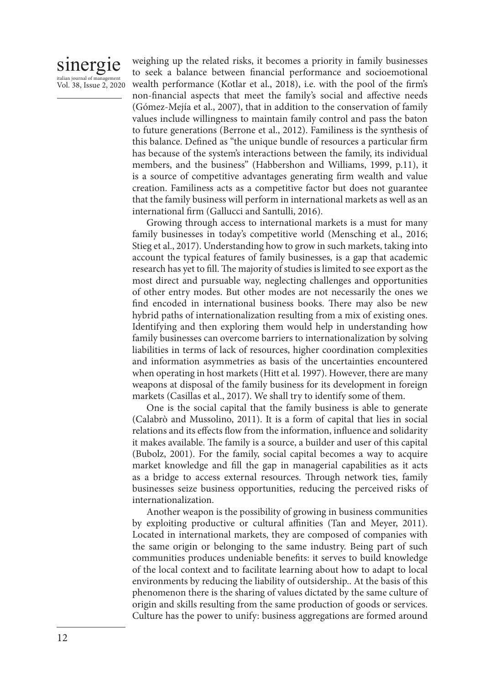## sinergie italian journal of manag Vol. 38, Issue 2, 2020

weighing up the related risks, it becomes a priority in family businesses to seek a balance between financial performance and socioemotional wealth performance (Kotlar et al., 2018), i.e. with the pool of the firm's non-financial aspects that meet the family's social and affective needs (Gómez-Mejía et al., 2007), that in addition to the conservation of family values include willingness to maintain family control and pass the baton to future generations (Berrone et al., 2012). Familiness is the synthesis of this balance. Defined as "the unique bundle of resources a particular firm has because of the system's interactions between the family, its individual members, and the business'' (Habbershon and Williams, 1999, p.11), it is a source of competitive advantages generating firm wealth and value creation. Familiness acts as a competitive factor but does not guarantee that the family business will perform in international markets as well as an international firm (Gallucci and Santulli, 2016).

Growing through access to international markets is a must for many family businesses in today's competitive world (Mensching et al., 2016; Stieg et al., 2017). Understanding how to grow in such markets, taking into account the typical features of family businesses, is a gap that academic research has yet to fill. The majority of studies is limited to see export as the most direct and pursuable way, neglecting challenges and opportunities of other entry modes. But other modes are not necessarily the ones we find encoded in international business books. There may also be new hybrid paths of internationalization resulting from a mix of existing ones. Identifying and then exploring them would help in understanding how family businesses can overcome barriers to internationalization by solving liabilities in terms of lack of resources, higher coordination complexities and information asymmetries as basis of the uncertainties encountered when operating in host markets (Hitt et al. 1997). However, there are many weapons at disposal of the family business for its development in foreign markets (Casillas et al., 2017). We shall try to identify some of them.

One is the social capital that the family business is able to generate (Calabrò and Mussolino, 2011). It is a form of capital that lies in social relations and its effects flow from the information, influence and solidarity it makes available. The family is a source, a builder and user of this capital (Bubolz, 2001). For the family, social capital becomes a way to acquire market knowledge and fill the gap in managerial capabilities as it acts as a bridge to access external resources. Through network ties, family businesses seize business opportunities, reducing the perceived risks of internationalization.

Another weapon is the possibility of growing in business communities by exploiting productive or cultural affinities (Tan and Meyer, 2011). Located in international markets, they are composed of companies with the same origin or belonging to the same industry. Being part of such communities produces undeniable benefits: it serves to build knowledge of the local context and to facilitate learning about how to adapt to local environments by reducing the liability of outsidership.. At the basis of this phenomenon there is the sharing of values dictated by the same culture of origin and skills resulting from the same production of goods or services. Culture has the power to unify: business aggregations are formed around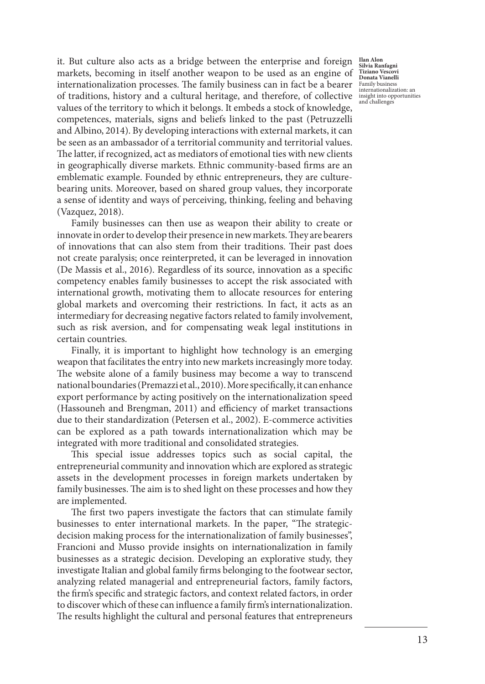internationalization processes. The family business can in fact be a bearer  $\frac{\text{Family business}}{\text{intermationalized}}$ it. But culture also acts as a bridge between the enterprise and foreign markets, becoming in itself another weapon to be used as an engine of of traditions, history and a cultural heritage, and therefore, of collective values of the territory to which it belongs. It embeds a stock of knowledge, competences, materials, signs and beliefs linked to the past (Petruzzelli and Albino, 2014). By developing interactions with external markets, it can be seen as an ambassador of a territorial community and territorial values. The latter, if recognized, act as mediators of emotional ties with new clients in geographically diverse markets. Ethnic community-based firms are an emblematic example. Founded by ethnic entrepreneurs, they are culturebearing units. Moreover, based on shared group values, they incorporate a sense of identity and ways of perceiving, thinking, feeling and behaving (Vazquez, 2018).

Family businesses can then use as weapon their ability to create or innovate in order to develop their presence in new markets. They are bearers of innovations that can also stem from their traditions. Their past does not create paralysis; once reinterpreted, it can be leveraged in innovation (De Massis et al., 2016). Regardless of its source, innovation as a specific competency enables family businesses to accept the risk associated with international growth, motivating them to allocate resources for entering global markets and overcoming their restrictions. In fact, it acts as an intermediary for decreasing negative factors related to family involvement, such as risk aversion, and for compensating weak legal institutions in certain countries.

Finally, it is important to highlight how technology is an emerging weapon that facilitates the entry into new markets increasingly more today. The website alone of a family business may become a way to transcend national boundaries (Premazzi et al., 2010). More specifically, it can enhance export performance by acting positively on the internationalization speed (Hassouneh and Brengman, 2011) and efficiency of market transactions due to their standardization (Petersen et al., 2002). E-commerce activities can be explored as a path towards internationalization which may be integrated with more traditional and consolidated strategies.

This special issue addresses topics such as social capital, the entrepreneurial community and innovation which are explored as strategic assets in the development processes in foreign markets undertaken by family businesses. The aim is to shed light on these processes and how they are implemented.

The first two papers investigate the factors that can stimulate family businesses to enter international markets. In the paper, "The strategicdecision making process for the internationalization of family businesses", Francioni and Musso provide insights on internationalization in family businesses as a strategic decision. Developing an explorative study, they investigate Italian and global family firms belonging to the footwear sector, analyzing related managerial and entrepreneurial factors, family factors, the firm's specific and strategic factors, and context related factors, in order to discover which of these can influence a family firm's internationalization. The results highlight the cultural and personal features that entrepreneurs

**Ilan Alon Silvia Ranfagni Tiziano Vescovi Donata Vianelli** internationalization: an insight into opportunities and challenge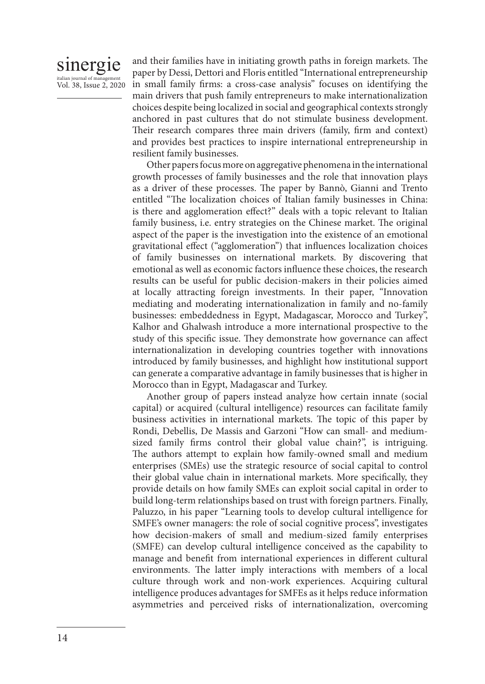## sinergie italian journal of manage Vol. 38, Issue 2, 2020

and their families have in initiating growth paths in foreign markets. The paper by Dessi, Dettori and Floris entitled "International entrepreneurship in small family firms: a cross-case analysis" focuses on identifying the main drivers that push family entrepreneurs to make internationalization choices despite being localized in social and geographical contexts strongly anchored in past cultures that do not stimulate business development. Their research compares three main drivers (family, firm and context) and provides best practices to inspire international entrepreneurship in resilient family businesses.

Other papers focus more on aggregative phenomena in the international growth processes of family businesses and the role that innovation plays as a driver of these processes. The paper by Bannò, Gianni and Trento entitled "The localization choices of Italian family businesses in China: is there and agglomeration effect?" deals with a topic relevant to Italian family business, i.e. entry strategies on the Chinese market. The original aspect of the paper is the investigation into the existence of an emotional gravitational effect ("agglomeration") that influences localization choices of family businesses on international markets. By discovering that emotional as well as economic factors influence these choices, the research results can be useful for public decision-makers in their policies aimed at locally attracting foreign investments. In their paper, "Innovation mediating and moderating internationalization in family and no-family businesses: embeddedness in Egypt, Madagascar, Morocco and Turkey", Kalhor and Ghalwash introduce a more international prospective to the study of this specific issue. They demonstrate how governance can affect internationalization in developing countries together with innovations introduced by family businesses, and highlight how institutional support can generate a comparative advantage in family businesses that is higher in Morocco than in Egypt, Madagascar and Turkey.

Another group of papers instead analyze how certain innate (social capital) or acquired (cultural intelligence) resources can facilitate family business activities in international markets. The topic of this paper by Rondi, Debellis, De Massis and Garzoni "How can small- and mediumsized family firms control their global value chain?", is intriguing. The authors attempt to explain how family-owned small and medium enterprises (SMEs) use the strategic resource of social capital to control their global value chain in international markets. More specifically, they provide details on how family SMEs can exploit social capital in order to build long-term relationships based on trust with foreign partners. Finally, Paluzzo, in his paper "Learning tools to develop cultural intelligence for SMFE's owner managers: the role of social cognitive process", investigates how decision-makers of small and medium-sized family enterprises (SMFE) can develop cultural intelligence conceived as the capability to manage and benefit from international experiences in different cultural environments. The latter imply interactions with members of a local culture through work and non-work experiences. Acquiring cultural intelligence produces advantages for SMFEs as it helps reduce information asymmetries and perceived risks of internationalization, overcoming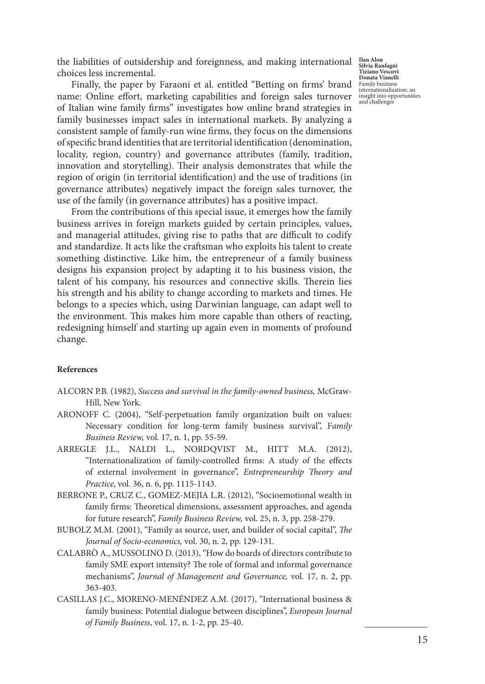the liabilities of outsidership and foreignness, and making international choices less incremental.

Finally, the paper by Faraoni et al. entitled "Betting on firms' brand name: Online effort, marketing capabilities and foreign sales turnover of Italian wine family firms" investigates how online brand strategies in family businesses impact sales in international markets. By analyzing a consistent sample of family-run wine firms, they focus on the dimensions of specific brand identities that are territorial identification (denomination, locality, region, country) and governance attributes (family, tradition, innovation and storytelling). Their analysis demonstrates that while the region of origin (in territorial identification) and the use of traditions (in governance attributes) negatively impact the foreign sales turnover, the use of the family (in governance attributes) has a positive impact.

From the contributions of this special issue, it emerges how the family business arrives in foreign markets guided by certain principles, values, and managerial attitudes, giving rise to paths that are difficult to codify and standardize. It acts like the craftsman who exploits his talent to create something distinctive. Like him, the entrepreneur of a family business designs his expansion project by adapting it to his business vision, the talent of his company, his resources and connective skills. Therein lies his strength and his ability to change according to markets and times. He belongs to a species which, using Darwinian language, can adapt well to the environment. This makes him more capable than others of reacting, redesigning himself and starting up again even in moments of profound change.

## **References**

- ALCORN P.B. (1982), *Success and survival in the family-owned business,* McGraw-Hill, New York.
- ARONOFF C. (2004), "Self‐perpetuation family organization built on values: Necessary condition for long‐term family business survival", F*amily Business Review,* vol. 17, n. 1, pp. 55-59.
- ARREGLE J.L., NALDI L., NORDQVIST M., HITT M.A. (2012), "Internationalization of family-controlled firms: A study of the effects of external involvement in governance", *Entrepreneurship Theory and Practice*, vol. 36, n. 6, pp. 1115-1143.
- BERRONE P., CRUZ C., GOMEZ-MEJIA L.R. (2012), "Socioemotional wealth in family firms: Theoretical dimensions, assessment approaches, and agenda for future research", *Family Business Review,* vol. 25, n. 3, pp. 258-279.
- BUBOLZ M.M. (2001), "Family as source, user, and builder of social capital", *The Journal of Socio-economics,* vol. 30, n. 2, pp. 129-131.
- CALABRÒ A., MUSSOLINO D. (2013), "How do boards of directors contribute to family SME export intensity? The role of formal and informal governance mechanisms", *Journal of Management and Governance,* vol. 17, n. 2, pp. 363-403.
- CASILLAS J.C., MORENO-MENÉNDEZ A.M. (2017), "International business & family business: Potential dialogue between disciplines", *European Journal of Family Business*, vol. 17, n. 1-2, pp. 25-40.

**Ilan Alon Silvia Ranfagni Tiziano Vescovi Donata Vianelli** Family business internationalization: an insight into opportunities and challenges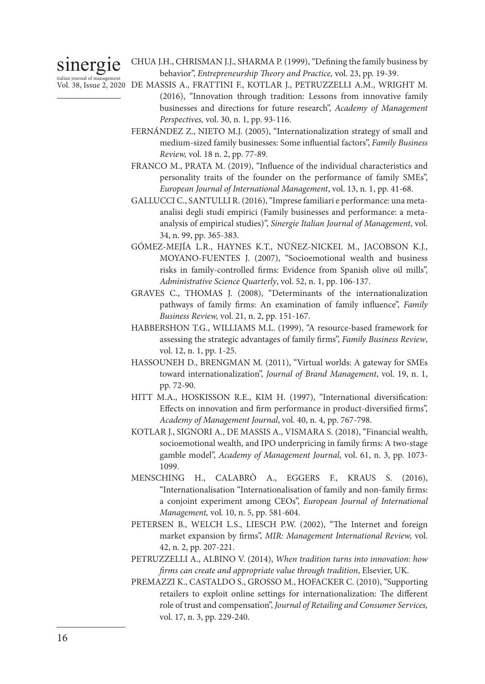# sinergie

CHUA J.H., CHRISMAN J.J., SHARMA P. (1999), "Defining the family business by behavior", *Entrepreneurship Theory and Practice,* vol. 23, pp. 19-39.

- italian journal of management<br>Vol. 38, Issue 2, 2020 DE MASSIS A., FRATTINI F., KOTLAR J., PETRUZZELLI A.M., WRIGHT M. (2016), "Innovation through tradition: Lessons from innovative family businesses and directions for future research", *Academy of Management Perspectives,* vol. 30, n. 1, pp. 93-116.
	- FERNÁNDEZ Z., NIETO M.J. (2005), "Internationalization strategy of small and medium-sized family businesses: Some influential factors", *Family Business Review,* vol. 18 n. 2, pp. 77-89.
	- FRANCO M., PRATA M. (2019), "Influence of the individual characteristics and personality traits of the founder on the performance of family SMEs", *European Journal of International Management*, vol. 13, n. 1, pp. 41-68.
	- GALLUCCI C., SANTULLI R. (2016), "Imprese familiari e performance: una metaanalisi degli studi empirici (Family businesses and performance: a metaanalysis of empirical studies)", *Sinergie Italian Journal of Management*, vol. 34, n. 99, pp. 365-383.
	- GÓMEZ-MEJÍA L.R., HAYNES K.T., NÚÑEZ-NICKEL M., JACOBSON K.J., MOYANO-FUENTES J. (2007), "Socioemotional wealth and business risks in family-controlled firms: Evidence from Spanish olive oil mills", *Administrative Science Quarterly*, vol. 52, n. 1, pp. 106-137.
	- GRAVES C., THOMAS J. (2008), "Determinants of the internationalization pathways of family firms: An examination of family influence", *Family Business Review,* vol. 21, n. 2, pp. 151-167.
	- HABBERSHON T.G., WILLIAMS M.L. (1999), "A resource-based framework for assessing the strategic advantages of family firms", *Family Business Review*, vol. 12, n. 1, pp. 1-25.
	- HASSOUNEH D., BRENGMAN M. (2011), "Virtual worlds: A gateway for SMEs toward internationalization", *Journal of Brand Management*, vol. 19, n. 1, pp. 72-90.
	- HITT M.A., HOSKISSON R.E., KIM H. (1997), "International diversification: Effects on innovation and firm performance in product-diversified firms", *Academy of Management Journal*, vol. 40, n. 4, pp. 767-798.
	- KOTLAR J., SIGNORI A., DE MASSIS A., VISMARA S. (2018), "Financial wealth, socioemotional wealth, and IPO underpricing in family firms: A two-stage gamble model", *Academy of Management Journal*, vol. 61, n. 3, pp. 1073- 1099.
	- MENSCHING H., CALABRÒ A., EGGERS F., KRAUS S. (2016), "Internationalisation "Internationalisation of family and non-family firms: a conjoint experiment among CEOs", *European Journal of International Management,* vol. 10, n. 5, pp. 581-604.
	- PETERSEN B., WELCH L.S., LIESCH P.W. (2002), "The Internet and foreign market expansion by firms", *MIR: Management International Review,* vol. 42, n. 2, pp. 207-221.
	- PETRUZZELLI A., ALBINO V. (2014), *When tradition turns into innovation: how firms can create and appropriate value through tradition*, Elsevier, UK.
	- PREMAZZI K., CASTALDO S., GROSSO M., HOFACKER C. (2010), "Supporting retailers to exploit online settings for internationalization: The different role of trust and compensation", *Journal of Retailing and Consumer Services,*  vol. 17, n. 3, pp. 229-240.